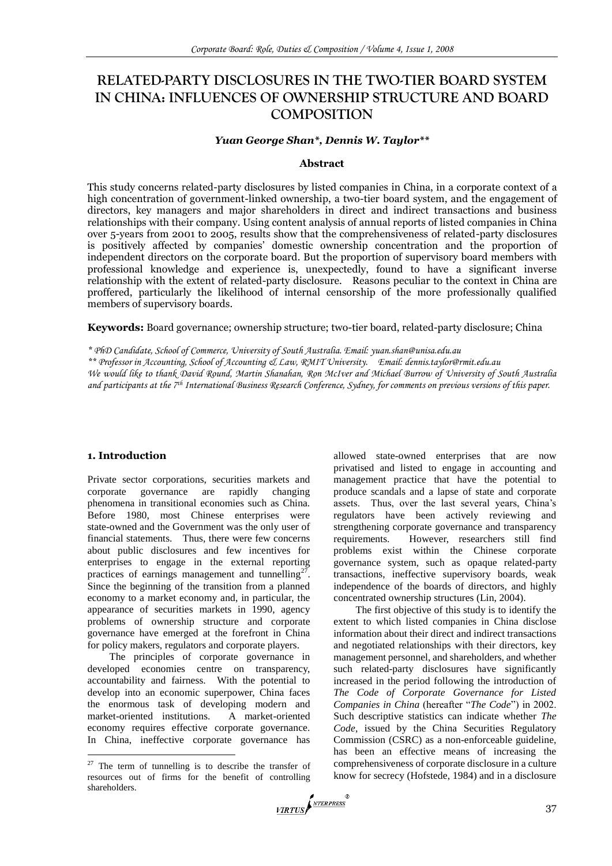# **RELATED-PARTY DISCLOSURES IN THE TWO-TIER BOARD SYSTEM IN CHINA: INFLUENCES OF OWNERSHIP STRUCTURE AND BOARD COMPOSITION**

#### *Yuan George Shan\*, Dennis W. Taylor\*\**

#### **Abstract**

This study concerns related-party disclosures by listed companies in China, in a corporate context of a high concentration of government-linked ownership, a two-tier board system, and the engagement of directors, key managers and major shareholders in direct and indirect transactions and business relationships with their company. Using content analysis of annual reports of listed companies in China over 5-years from 2001 to 2005, results show that the comprehensiveness of related-party disclosures is positively affected by companies' domestic ownership concentration and the proportion of independent directors on the corporate board. But the proportion of supervisory board members with professional knowledge and experience is, unexpectedly, found to have a significant inverse relationship with the extent of related-party disclosure. Reasons peculiar to the context in China are proffered, particularly the likelihood of internal censorship of the more professionally qualified members of supervisory boards.

**Keywords:** Board governance; ownership structure; two-tier board, related-party disclosure; China

*\*\* Professor in Accounting, School of Accounting & Law, RMIT University. Email: dennis.taylor@rmit.edu.au*

# **1. Introduction**

1

Private sector corporations, securities markets and<br>corporate governance are rapidly changing corporate governance are rapidly changing phenomena in transitional economies such as China. Before 1980, most Chinese enterprises were state-owned and the Government was the only user of financial statements. Thus, there were few concerns about public disclosures and few incentives for enterprises to engage in the external reporting practices of earnings management and tunnelling $2^7$ . Since the beginning of the transition from a planned economy to a market economy and, in particular, the appearance of securities markets in 1990, agency problems of ownership structure and corporate governance have emerged at the forefront in China for policy makers, regulators and corporate players.

The principles of corporate governance in developed economies centre on transparency, accountability and fairness. With the potential to develop into an economic superpower, China faces the enormous task of developing modern and market-oriented institutions. A market-oriented economy requires effective corporate governance. In China, ineffective corporate governance has

allowed state-owned enterprises that are now privatised and listed to engage in accounting and management practice that have the potential to produce scandals and a lapse of state and corporate assets. Thus, over the last several years, China's regulators have been actively reviewing and strengthening corporate governance and transparency requirements. However, researchers still find problems exist within the Chinese corporate governance system, such as opaque related-party transactions, ineffective supervisory boards, weak independence of the boards of directors, and highly concentrated ownership structures (Lin, 2004).

The first objective of this study is to identify the extent to which listed companies in China disclose information about their direct and indirect transactions and negotiated relationships with their directors, key management personnel, and shareholders, and whether such related-party disclosures have significantly increased in the period following the introduction of *The Code of Corporate Governance for Listed Companies in China* (hereafter "The Code") in 2002. Such descriptive statistics can indicate whether *The Code*, issued by the China Securities Regulatory Commission (CSRC) as a non-enforceable guideline, has been an effective means of increasing the comprehensiveness of corporate disclosure in a culture know for secrecy (Hofstede, 1984) and in a disclosure



*<sup>\*</sup> PhD Candidate, School of Commerce, University of South Australia. Email: yuan.shan@unisa.edu.au*

*We would like to thank David Round, Martin Shanahan, Ron McIver and Michael Burrow of University of South Australia and participants at the 7th International Business Research Conference, Sydney, for comments on previous versions of this paper.*

 $27$  The term of tunnelling is to describe the transfer of resources out of firms for the benefit of controlling shareholders.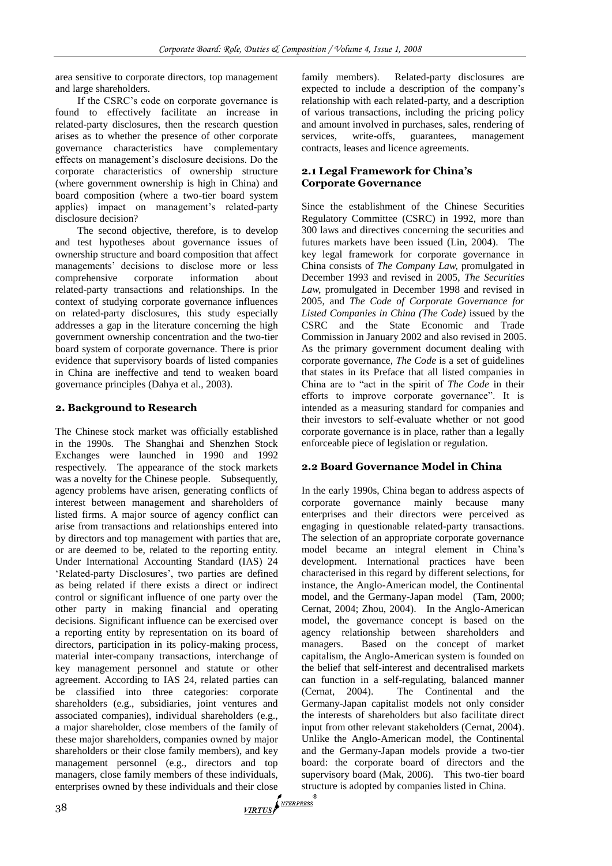area sensitive to corporate directors, top management and large shareholders.

If the CSRC's code on corporate governance is found to effectively facilitate an increase in related-party disclosures, then the research question arises as to whether the presence of other corporate governance characteristics have complementary effects on management's disclosure decisions. Do the corporate characteristics of ownership structure (where government ownership is high in China) and board composition (where a two-tier board system applies) impact on management's related-party disclosure decision?

The second objective, therefore, is to develop and test hypotheses about governance issues of ownership structure and board composition that affect managements' decisions to disclose more or less comprehensive corporate information about related-party transactions and relationships. In the context of studying corporate governance influences on related-party disclosures, this study especially addresses a gap in the literature concerning the high government ownership concentration and the two-tier board system of corporate governance. There is prior evidence that supervisory boards of listed companies in China are ineffective and tend to weaken board governance principles (Dahya et al., 2003).

# **2. Background to Research**

The Chinese stock market was officially established in the 1990s. The Shanghai and Shenzhen Stock Exchanges were launched in 1990 and 1992 respectively. The appearance of the stock markets was a novelty for the Chinese people. Subsequently, agency problems have arisen, generating conflicts of interest between management and shareholders of listed firms. A major source of agency conflict can arise from transactions and relationships entered into by directors and top management with parties that are, or are deemed to be, related to the reporting entity. Under International Accounting Standard (IAS) 24 ‗Related-party Disclosures', two parties are defined as being related if there exists a direct or indirect control or significant influence of one party over the other party in making financial and operating decisions. Significant influence can be exercised over a reporting entity by representation on its board of directors, participation in its policy-making process, material inter-company transactions, interchange of key management personnel and statute or other agreement. According to IAS 24, related parties can be classified into three categories: corporate shareholders (e.g., subsidiaries, joint ventures and associated companies), individual shareholders (e.g., a major shareholder, close members of the family of these major shareholders, companies owned by major shareholders or their close family members), and key management personnel (e.g., directors and top managers, close family members of these individuals, enterprises owned by these individuals and their close strugged and their close strugged and their close strugged and their close strugged and their close strugged and their close strugged and their close strugged and thei

family members). Related-party disclosures are expected to include a description of the company's relationship with each related-party, and a description of various transactions, including the pricing policy and amount involved in purchases, sales, rendering of services, write-offs, guarantees, management contracts, leases and licence agreements.

# **2.1 Legal Framework for China's Corporate Governance**

Since the establishment of the Chinese Securities Regulatory Committee (CSRC) in 1992, more than 300 laws and directives concerning the securities and futures markets have been issued (Lin, 2004). The key legal framework for corporate governance in China consists of *The Company Law,* promulgated in December 1993 and revised in 2005, *The Securities Law,* promulgated in December 1998 and revised in 2005, and *The Code of Corporate Governance for Listed Companies in China (The Code)* issued by the CSRC and the State Economic and Trade Commission in January 2002 and also revised in 2005. As the primary government document dealing with corporate governance, *The Code* is a set of guidelines that states in its Preface that all listed companies in China are to "act in the spirit of *The Code* in their efforts to improve corporate governance". It is intended as a measuring standard for companies and their investors to self-evaluate whether or not good corporate governance is in place, rather than a legally enforceable piece of legislation or regulation.

# **2.2 Board Governance Model in China**

In the early 1990s, China began to address aspects of corporate governance mainly because many enterprises and their directors were perceived as engaging in questionable related-party transactions. The selection of an appropriate corporate governance model became an integral element in China's development. International practices have been characterised in this regard by different selections, for instance, the Anglo-American model, the Continental model, and the Germany-Japan model (Tam, 2000; Cernat, 2004; Zhou, 2004). In the Anglo-American model, the governance concept is based on the agency relationship between shareholders and managers. Based on the concept of market capitalism, the Anglo-American system is founded on the belief that self-interest and decentralised markets can function in a self-regulating, balanced manner (Cernat, 2004). The Continental and the Germany-Japan capitalist models not only consider the interests of shareholders but also facilitate direct input from other relevant stakeholders (Cernat, 2004). Unlike the Anglo-American model, the Continental and the Germany-Japan models provide a two-tier board: the corporate board of directors and the supervisory board (Mak, 2006). This two-tier board structure is adopted by companies listed in China.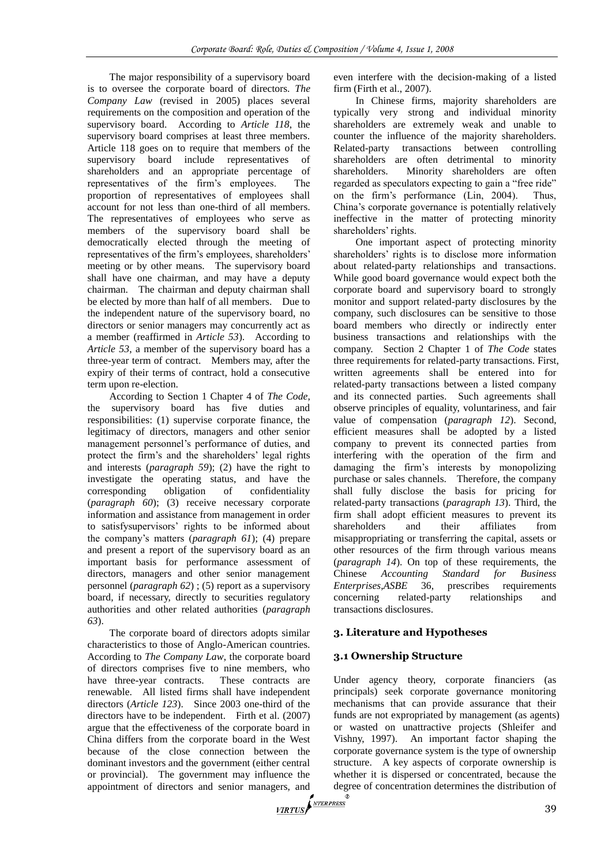The major responsibility of a supervisory board is to oversee the corporate board of directors. *The Company Law* (revised in 2005) places several requirements on the composition and operation of the supervisory board. According to *Article 118*, the supervisory board comprises at least three members. Article 118 goes on to require that members of the supervisory board include representatives of shareholders and an appropriate percentage of representatives of the firm's employees. The proportion of representatives of employees shall account for not less than one-third of all members. The representatives of employees who serve as members of the supervisory board shall be democratically elected through the meeting of representatives of the firm's employees, shareholders' meeting or by other means. The supervisory board shall have one chairman, and may have a deputy chairman. The chairman and deputy chairman shall be elected by more than half of all members. Due to the independent nature of the supervisory board, no directors or senior managers may concurrently act as a member (reaffirmed in *Article 53*). According to *Article 53*, a member of the supervisory board has a three-year term of contract. Members may, after the expiry of their terms of contract, hold a consecutive term upon re-election.

According to Section 1 Chapter 4 of *The Code*, the supervisory board has five duties and responsibilities: (1) supervise corporate finance, the legitimacy of directors, managers and other senior management personnel's performance of duties, and protect the firm's and the shareholders' legal rights and interests (*paragraph 59*); (2) have the right to investigate the operating status, and have the corresponding obligation of confidentiality (*paragraph 60*); (3) receive necessary corporate information and assistance from management in order to satisfysupervisors' rights to be informed about the company's matters (*paragraph 61*); (4) prepare and present a report of the supervisory board as an important basis for performance assessment of directors, managers and other senior management personnel (*paragraph 62*) ; (5) report as a supervisory board, if necessary, directly to securities regulatory authorities and other related authorities (*paragraph 63*).

The corporate board of directors adopts similar characteristics to those of Anglo-American countries. According to *The Company Law*, the corporate board of directors comprises five to nine members, who have three-year contracts. These contracts are renewable. All listed firms shall have independent directors (*Article 123*). Since 2003 one-third of the directors have to be independent. Firth et al. (2007) argue that the effectiveness of the corporate board in China differs from the corporate board in the West because of the close connection between the dominant investors and the government (either central or provincial). The government may influence the appointment of directors and senior managers, and degenerates  $\sqrt{\frac{NTERPERS}{NTERPESS}}$ 

even interfere with the decision-making of a listed firm (Firth et al., 2007).

In Chinese firms, majority shareholders are typically very strong and individual minority shareholders are extremely weak and unable to counter the influence of the majority shareholders. Related-party transactions between controlling shareholders are often detrimental to minority shareholders. Minority shareholders are often regarded as speculators expecting to gain a "free ride" on the firm's performance (Lin, 2004). Thus, China's corporate governance is potentially relatively ineffective in the matter of protecting minority shareholders' rights.

One important aspect of protecting minority shareholders' rights is to disclose more information about related-party relationships and transactions. While good board governance would expect both the corporate board and supervisory board to strongly monitor and support related-party disclosures by the company, such disclosures can be sensitive to those board members who directly or indirectly enter business transactions and relationships with the company. Section 2 Chapter 1 of *The Code* states three requirements for related-party transactions. First, written agreements shall be entered into for related-party transactions between a listed company and its connected parties. Such agreements shall observe principles of equality, voluntariness, and fair value of compensation (*paragraph 12*). Second, efficient measures shall be adopted by a listed company to prevent its connected parties from interfering with the operation of the firm and damaging the firm's interests by monopolizing purchase or sales channels. Therefore, the company shall fully disclose the basis for pricing for related-party transactions (*paragraph 13*). Third, the firm shall adopt efficient measures to prevent its shareholders and their affiliates from misappropriating or transferring the capital, assets or other resources of the firm through various means (*paragraph 14*). On top of these requirements, the Chinese *Accounting Standard for Business Enterprises*,*ASBE* 36, prescribes requirements concerning related-party relationships and transactions disclosures.

# **3. Literature and Hypotheses**

# **3.1 Ownership Structure**

Under agency theory, corporate financiers (as principals) seek corporate governance monitoring mechanisms that can provide assurance that their funds are not expropriated by management (as agents) or wasted on unattractive projects (Shleifer and Vishny, 1997). An important factor shaping the corporate governance system is the type of ownership structure. A key aspects of corporate ownership is whether it is dispersed or concentrated, because the degree of concentration determines the distribution of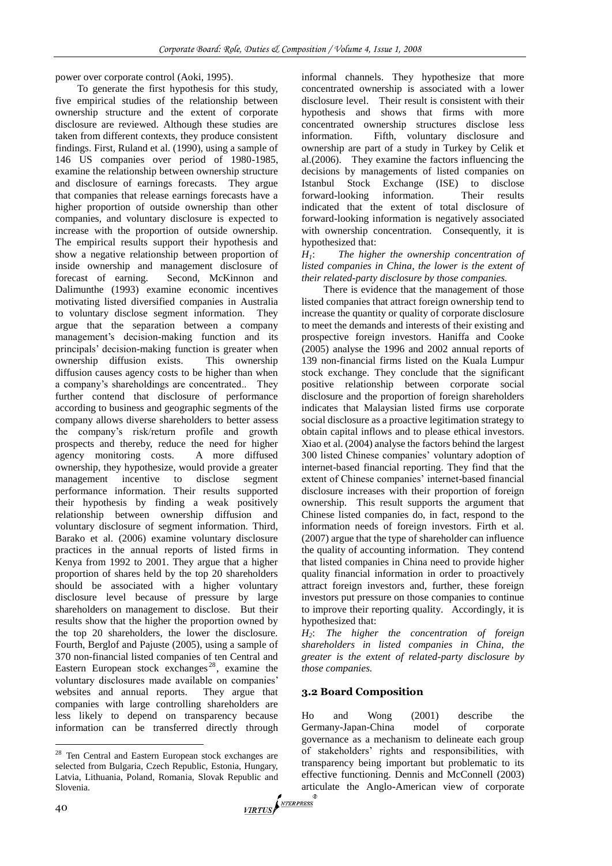power over corporate control (Aoki, 1995).

To generate the first hypothesis for this study, five empirical studies of the relationship between ownership structure and the extent of corporate disclosure are reviewed. Although these studies are taken from different contexts, they produce consistent findings. First, Ruland et al. (1990), using a sample of 146 US companies over period of 1980-1985, examine the relationship between ownership structure and disclosure of earnings forecasts. They argue that companies that release earnings forecasts have a higher proportion of outside ownership than other companies, and voluntary disclosure is expected to increase with the proportion of outside ownership. The empirical results support their hypothesis and show a negative relationship between proportion of inside ownership and management disclosure of forecast of earning. Second, McKinnon and Dalimunthe (1993) examine economic incentives motivating listed diversified companies in Australia to voluntary disclose segment information. They argue that the separation between a company management's decision-making function and its principals' decision-making function is greater when ownership diffusion exists. This ownership diffusion causes agency costs to be higher than when a company's shareholdings are concentrated.. They further contend that disclosure of performance according to business and geographic segments of the company allows diverse shareholders to better assess the company's risk/return profile and growth prospects and thereby, reduce the need for higher agency monitoring costs. A more diffused ownership, they hypothesize, would provide a greater management incentive to disclose segment performance information. Their results supported their hypothesis by finding a weak positively relationship between ownership diffusion and voluntary disclosure of segment information. Third, Barako et al. (2006) examine voluntary disclosure practices in the annual reports of listed firms in Kenya from 1992 to 2001. They argue that a higher proportion of shares held by the top 20 shareholders should be associated with a higher voluntary disclosure level because of pressure by large shareholders on management to disclose. But their results show that the higher the proportion owned by the top 20 shareholders, the lower the disclosure. Fourth, Berglof and Pajuste (2005), using a sample of 370 non-financial listed companies of ten Central and Eastern European stock exchanges<sup>28</sup>, examine the voluntary disclosures made available on companies' websites and annual reports. They argue that companies with large controlling shareholders are less likely to depend on transparency because information can be transferred directly through

informal channels. They hypothesize that more concentrated ownership is associated with a lower disclosure level. Their result is consistent with their hypothesis and shows that firms with more concentrated ownership structures disclose less information. Fifth, voluntary disclosure and ownership are part of a study in Turkey by Celik et al.(2006). They examine the factors influencing the decisions by managements of listed companies on Istanbul Stock Exchange (ISE) to disclose forward-looking information. Their results indicated that the extent of total disclosure of forward-looking information is negatively associated with ownership concentration. Consequently, it is hypothesized that:

*H1*: *The higher the ownership concentration of listed companies in China, the lower is the extent of their related-party disclosure by those companies.*

There is evidence that the management of those listed companies that attract foreign ownership tend to increase the quantity or quality of corporate disclosure to meet the demands and interests of their existing and prospective foreign investors. Haniffa and Cooke (2005) analyse the 1996 and 2002 annual reports of 139 non-financial firms listed on the Kuala Lumpur stock exchange. They conclude that the significant positive relationship between corporate social disclosure and the proportion of foreign shareholders indicates that Malaysian listed firms use corporate social disclosure as a proactive legitimation strategy to obtain capital inflows and to please ethical investors. Xiao et al. (2004) analyse the factors behind the largest 300 listed Chinese companies' voluntary adoption of internet-based financial reporting. They find that the extent of Chinese companies' internet-based financial disclosure increases with their proportion of foreign ownership. This result supports the argument that Chinese listed companies do, in fact, respond to the information needs of foreign investors. Firth et al. (2007) argue that the type of shareholder can influence the quality of accounting information. They contend that listed companies in China need to provide higher quality financial information in order to proactively attract foreign investors and, further, these foreign investors put pressure on those companies to continue to improve their reporting quality. Accordingly, it is hypothesized that:

*H2*: *The higher the concentration of foreign shareholders in listed companies in China, the greater is the extent of related-party disclosure by those companies.*

#### **3.2 Board Composition**

Ho and Wong (2001) describe the Germany-Japan-China model of corporate governance as a mechanism to delineate each group of stakeholders' rights and responsibilities, with transparency being important but problematic to its effective functioning. Dennis and McConnell (2003) articulate the Anglo-American view of corporate  $\sqrt{Y/RTUS}$ 

 $\overline{a}$ 

<sup>&</sup>lt;sup>28</sup> Ten Central and Eastern European stock exchanges are selected from Bulgaria, Czech Republic, Estonia, Hungary, Latvia, Lithuania, Poland, Romania, Slovak Republic and Slovenia.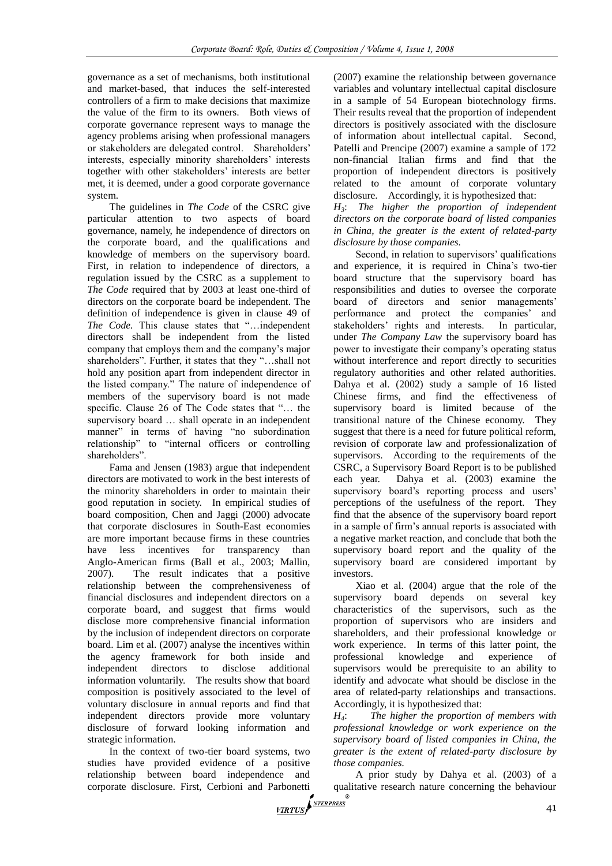governance as a set of mechanisms, both institutional and market-based, that induces the self-interested controllers of a firm to make decisions that maximize the value of the firm to its owners. Both views of corporate governance represent ways to manage the agency problems arising when professional managers or stakeholders are delegated control. Shareholders' interests, especially minority shareholders' interests together with other stakeholders' interests are better met, it is deemed, under a good corporate governance system.

The guidelines in *The Code* of the CSRC give particular attention to two aspects of board governance, namely, he independence of directors on the corporate board, and the qualifications and knowledge of members on the supervisory board. First, in relation to independence of directors, a regulation issued by the CSRC as a supplement to *The Code* required that by 2003 at least one-third of directors on the corporate board be independent. The definition of independence is given in clause 49 of *The Code*. This clause states that "...independent directors shall be independent from the listed company that employs them and the company's major shareholders". Further, it states that they "...shall not hold any position apart from independent director in the listed company." The nature of independence of members of the supervisory board is not made specific. Clause 26 of The Code states that "... the supervisory board … shall operate in an independent manner" in terms of having "no subordination relationship" to "internal officers or controlling shareholders".

Fama and Jensen (1983) argue that independent directors are motivated to work in the best interests of the minority shareholders in order to maintain their good reputation in society. In empirical studies of board composition, Chen and Jaggi (2000) advocate that corporate disclosures in South-East economies are more important because firms in these countries have less incentives for transparency than Anglo-American firms (Ball et al., 2003; Mallin, 2007). The result indicates that a positive relationship between the comprehensiveness of financial disclosures and independent directors on a corporate board, and suggest that firms would disclose more comprehensive financial information by the inclusion of independent directors on corporate board. Lim et al. (2007) analyse the incentives within the agency framework for both inside and independent directors to disclose additional information voluntarily. The results show that board composition is positively associated to the level of voluntary disclosure in annual reports and find that independent directors provide more voluntary disclosure of forward looking information and strategic information.

In the context of two-tier board systems, two studies have provided evidence of a positive relationship between board independence and corporate disclosure. First, Cerbioni and Parbonetti quantity of the corporate disclosure. First, Cerbioni and Parbonetti quantity of the corporation of the corporation of the corporation of the corporation of the corporat

(2007) examine the relationship between governance variables and voluntary intellectual capital disclosure in a sample of 54 European biotechnology firms. Their results reveal that the proportion of independent directors is positively associated with the disclosure of information about intellectual capital. Second, Patelli and Prencipe (2007) examine a sample of 172 non-financial Italian firms and find that the proportion of independent directors is positively related to the amount of corporate voluntary disclosure. Accordingly, it is hypothesized that:

*H3*: *The higher the proportion of independent directors on the corporate board of listed companies in China, the greater is the extent of related-party disclosure by those companies.*

Second, in relation to supervisors' qualifications and experience, it is required in China's two-tier board structure that the supervisory board has responsibilities and duties to oversee the corporate board of directors and senior managements' performance and protect the companies' and stakeholders' rights and interests. In particular, under *The Company Law* the supervisory board has power to investigate their company's operating status without interference and report directly to securities regulatory authorities and other related authorities. Dahya et al. (2002) study a sample of 16 listed Chinese firms, and find the effectiveness of supervisory board is limited because of the transitional nature of the Chinese economy. They suggest that there is a need for future political reform, revision of corporate law and professionalization of supervisors. According to the requirements of the CSRC, a Supervisory Board Report is to be published each year. Dahya et al. (2003) examine the supervisory board's reporting process and users' perceptions of the usefulness of the report. They find that the absence of the supervisory board report in a sample of firm's annual reports is associated with a negative market reaction, and conclude that both the supervisory board report and the quality of the supervisory board are considered important by investors.

Xiao et al. (2004) argue that the role of the supervisory board depends on several key characteristics of the supervisors, such as the proportion of supervisors who are insiders and shareholders, and their professional knowledge or work experience. In terms of this latter point, the professional knowledge and experience of supervisors would be prerequisite to an ability to identify and advocate what should be disclose in the area of related-party relationships and transactions. Accordingly, it is hypothesized that:

*H4*: *The higher the proportion of members with professional knowledge or work experience on the supervisory board of listed companies in China, the greater is the extent of related-party disclosure by those companies.* 

A prior study by Dahya et al. (2003) of a qualitative research nature concerning the behaviour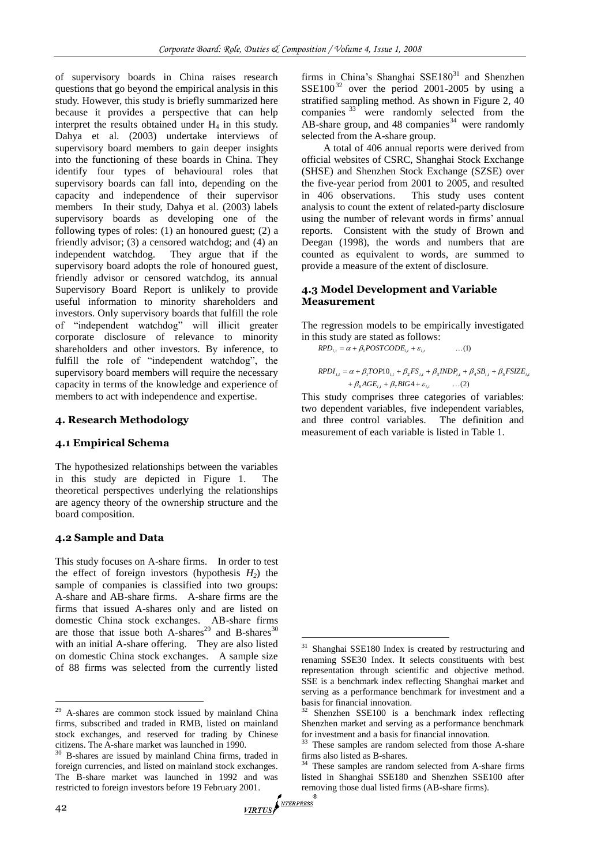of supervisory boards in China raises research questions that go beyond the empirical analysis in this study. However, this study is briefly summarized here because it provides a perspective that can help interpret the results obtained under  $H_4$  in this study. Dahya et al. (2003) undertake interviews of supervisory board members to gain deeper insights into the functioning of these boards in China. They identify four types of behavioural roles that supervisory boards can fall into, depending on the capacity and independence of their supervisor members In their study, Dahya et al. (2003) labels supervisory boards as developing one of the following types of roles: (1) an honoured guest; (2) a friendly advisor; (3) a censored watchdog; and (4) an independent watchdog. They argue that if the supervisory board adopts the role of honoured guest, friendly advisor or censored watchdog, its annual Supervisory Board Report is unlikely to provide useful information to minority shareholders and investors. Only supervisory boards that fulfill the role of "independent watchdog" will illicit greater corporate disclosure of relevance to minority shareholders and other investors. By inference, to fulfill the role of "independent watchdog", the supervisory board members will require the necessary capacity in terms of the knowledge and experience of members to act with independence and expertise.

# **4. Research Methodology**

#### **4.1 Empirical Schema**

The hypothesized relationships between the variables in this study are depicted in Figure 1. The theoretical perspectives underlying the relationships are agency theory of the ownership structure and the board composition.

#### **4.2 Sample and Data**

This study focuses on A-share firms. In order to test the effect of foreign investors (hypothesis  $H_2$ ) the sample of companies is classified into two groups: A-share and AB-share firms. A-share firms are the firms that issued A-shares only and are listed on domestic China stock exchanges. AB-share firms are those that issue both A-shares<sup>29</sup> and B-shares<sup>30</sup> with an initial A-share offering. They are also listed on domestic China stock exchanges. A sample size of 88 firms was selected from the currently listed

A total of 406 annual reports were derived from official websites of CSRC, Shanghai Stock Exchange (SHSE) and Shenzhen Stock Exchange (SZSE) over the five-year period from 2001 to 2005, and resulted in 406 observations. This study uses content analysis to count the extent of related-party disclosure using the number of relevant words in firms' annual reports. Consistent with the study of Brown and Deegan (1998), the words and numbers that are counted as equivalent to words, are summed to provide a measure of the extent of disclosure.

#### **4.3 Model Development and Variable Measurement**

The regression models to be empirically investigated in this study are stated as follows:

$$
RPD_{i,t} = \alpha + \beta_1 POSTCODE_{i,t} + \varepsilon_{i,t} \qquad \qquad \dots (1)
$$

$$
RPDI_{i,t} = \alpha + \beta_1 TOP10_{i,t} + \beta_2 FS_{i,t} + \beta_3 INDP_{i,t} + \beta_4 SB_{i,t} + \beta_5 FSIZE_{i,t}
$$
  
+  $\beta_6 AGE_{i,t} + \beta_7 BIG4 + \varepsilon_{i,t}$  ...(2)

This study comprises three categories of variables: two dependent variables, five independent variables, and three control variables. The definition and measurement of each variable is listed in Table 1.

<u>.</u>

 $\overline{a}$ 

<sup>&</sup>lt;sup>29</sup> A-shares are common stock issued by mainland China firms, subscribed and traded in RMB, listed on mainland stock exchanges, and reserved for trading by Chinese citizens. The A-share market was launched in 1990.

<sup>&</sup>lt;sup>30</sup> B-shares are issued by mainland China firms, traded in foreign currencies, and listed on mainland stock exchanges. The B-share market was launched in 1992 and was restricted to foreign investors before 19 February 2001. Ten restricted to foreign investors before 19 February 2001.

<sup>31</sup> Shanghai SSE180 Index is created by restructuring and renaming SSE30 Index. It selects constituents with best representation through scientific and objective method. SSE is a benchmark index reflecting Shanghai market and serving as a performance benchmark for investment and a basis for financial innovation.

Shenzhen SSE100 is a benchmark index reflecting Shenzhen market and serving as a performance benchmark for investment and a basis for financial innovation.

<sup>&</sup>lt;sup>33</sup> These samples are random selected from those A-share firms also listed as B-shares.

<sup>&</sup>lt;sup>34</sup> These samples are random selected from A-share firms listed in Shanghai SSE180 and Shenzhen SSE100 after removing those dual listed firms (AB-share firms).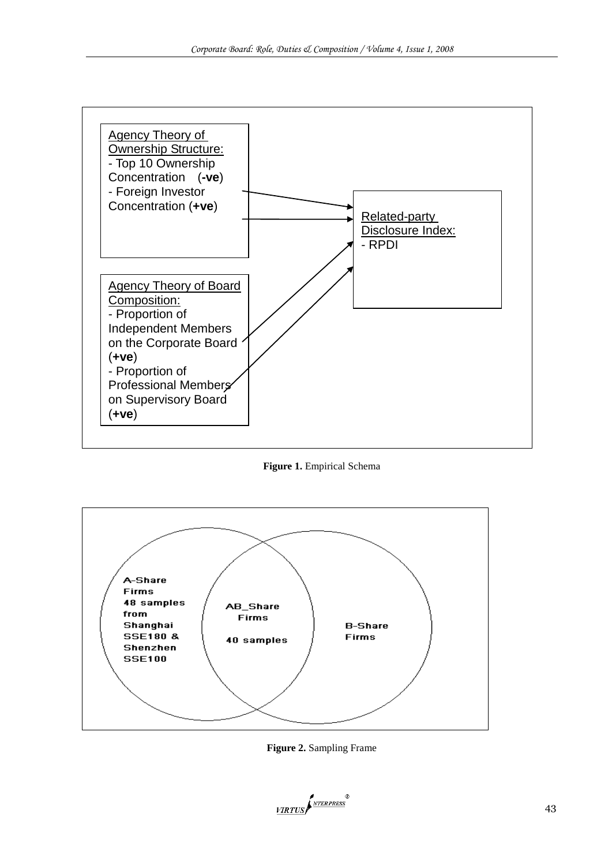

**Figure 1.** Empirical Schema



**Figure 2.** Sampling Frame

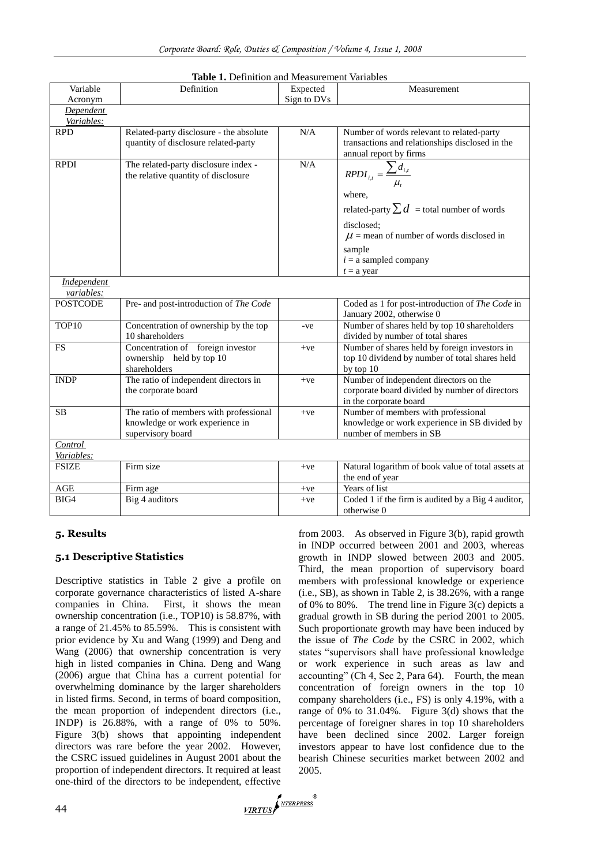| Variable         | Definition                              | Expected    | Measurement                                        |  |  |  |  |  |
|------------------|-----------------------------------------|-------------|----------------------------------------------------|--|--|--|--|--|
| Acronym          |                                         | Sign to DVs |                                                    |  |  |  |  |  |
| <b>Dependent</b> |                                         |             |                                                    |  |  |  |  |  |
| Variables:       |                                         |             |                                                    |  |  |  |  |  |
| <b>RPD</b>       | Related-party disclosure - the absolute | N/A         | Number of words relevant to related-party          |  |  |  |  |  |
|                  | quantity of disclosure related-party    |             | transactions and relationships disclosed in the    |  |  |  |  |  |
|                  |                                         |             | annual report by firms                             |  |  |  |  |  |
| <b>RPDI</b>      | The related-party disclosure index -    | N/A         |                                                    |  |  |  |  |  |
|                  | the relative quantity of disclosure     |             | $RPDI_{i,t} = \frac{\sum d_{i,t}}{t}$              |  |  |  |  |  |
|                  |                                         |             |                                                    |  |  |  |  |  |
|                  |                                         |             | where,                                             |  |  |  |  |  |
|                  |                                         |             | related-party $\sum d$ = total number of words     |  |  |  |  |  |
|                  |                                         |             | disclosed;                                         |  |  |  |  |  |
|                  |                                         |             | $\mu$ = mean of number of words disclosed in       |  |  |  |  |  |
|                  |                                         |             | sample                                             |  |  |  |  |  |
|                  |                                         |             | $i = a$ sampled company                            |  |  |  |  |  |
|                  |                                         |             | $t = a$ year                                       |  |  |  |  |  |
| Independent      |                                         |             |                                                    |  |  |  |  |  |
| variables:       |                                         |             |                                                    |  |  |  |  |  |
| <b>POSTCODE</b>  | Pre- and post-introduction of The Code  |             | Coded as 1 for post-introduction of The Code in    |  |  |  |  |  |
|                  |                                         |             | January 2002, otherwise 0                          |  |  |  |  |  |
| TOP10            | Concentration of ownership by the top   | -ve         | Number of shares held by top 10 shareholders       |  |  |  |  |  |
|                  | 10 shareholders                         |             | divided by number of total shares                  |  |  |  |  |  |
| <b>FS</b>        | Concentration of foreign investor       | $+ve$       | Number of shares held by foreign investors in      |  |  |  |  |  |
|                  | ownership held by top 10                |             | top 10 dividend by number of total shares held     |  |  |  |  |  |
|                  | shareholders                            |             | by top 10                                          |  |  |  |  |  |
| <b>INDP</b>      | The ratio of independent directors in   | $+ve$       | Number of independent directors on the             |  |  |  |  |  |
|                  | the corporate board                     |             | corporate board divided by number of directors     |  |  |  |  |  |
|                  |                                         |             | in the corporate board                             |  |  |  |  |  |
| <b>SB</b>        | The ratio of members with professional  | $+ve$       | Number of members with professional                |  |  |  |  |  |
|                  | knowledge or work experience in         |             | knowledge or work experience in SB divided by      |  |  |  |  |  |
|                  | supervisory board                       |             | number of members in SB                            |  |  |  |  |  |
| Control          |                                         |             |                                                    |  |  |  |  |  |
| Variables:       |                                         |             |                                                    |  |  |  |  |  |
| <b>FSIZE</b>     | Firm size                               | $+ve$       | Natural logarithm of book value of total assets at |  |  |  |  |  |
|                  |                                         |             | the end of year                                    |  |  |  |  |  |
| AGE              | Firm age                                | $+ve$       | Years of list                                      |  |  |  |  |  |
| BIG4             | Big 4 auditors                          | $+ve$       | Coded 1 if the firm is audited by a Big 4 auditor, |  |  |  |  |  |
|                  |                                         |             | otherwise 0                                        |  |  |  |  |  |

#### **Table 1.** Definition and Measurement Variables

# **5. Results**

#### **5.1 Descriptive Statistics**

Descriptive statistics in Table 2 give a profile on corporate governance characteristics of listed A-share companies in China. First, it shows the mean ownership concentration (i.e., TOP10) is 58.87%, with a range of 21.45% to 85.59%. This is consistent with prior evidence by Xu and Wang (1999) and Deng and Wang (2006) that ownership concentration is very high in listed companies in China. Deng and Wang (2006) argue that China has a current potential for overwhelming dominance by the larger shareholders in listed firms. Second, in terms of board composition, the mean proportion of independent directors (i.e., INDP) is 26.88%, with a range of 0% to 50%. Figure 3(b) shows that appointing independent directors was rare before the year 2002. However, the CSRC issued guidelines in August 2001 about the proportion of independent directors. It required at least one-third of the directors to be independent, effective

from 2003. As observed in Figure 3(b), rapid growth in INDP occurred between 2001 and 2003, whereas growth in INDP slowed between 2003 and 2005. Third, the mean proportion of supervisory board members with professional knowledge or experience (i.e., SB), as shown in Table 2, is 38.26%, with a range of 0% to 80%. The trend line in Figure 3(c) depicts a gradual growth in SB during the period 2001 to 2005. Such proportionate growth may have been induced by the issue of *The Code* by the CSRC in 2002, which states "supervisors shall have professional knowledge or work experience in such areas as law and accounting" (Ch 4, Sec 2, Para 64). Fourth, the mean concentration of foreign owners in the top 10 company shareholders (i.e., FS) is only 4.19%, with a range of 0% to 31.04%. Figure 3(d) shows that the percentage of foreigner shares in top 10 shareholders have been declined since 2002. Larger foreign investors appear to have lost confidence due to the bearish Chinese securities market between 2002 and 2005.

VIRTUS NEERPRESS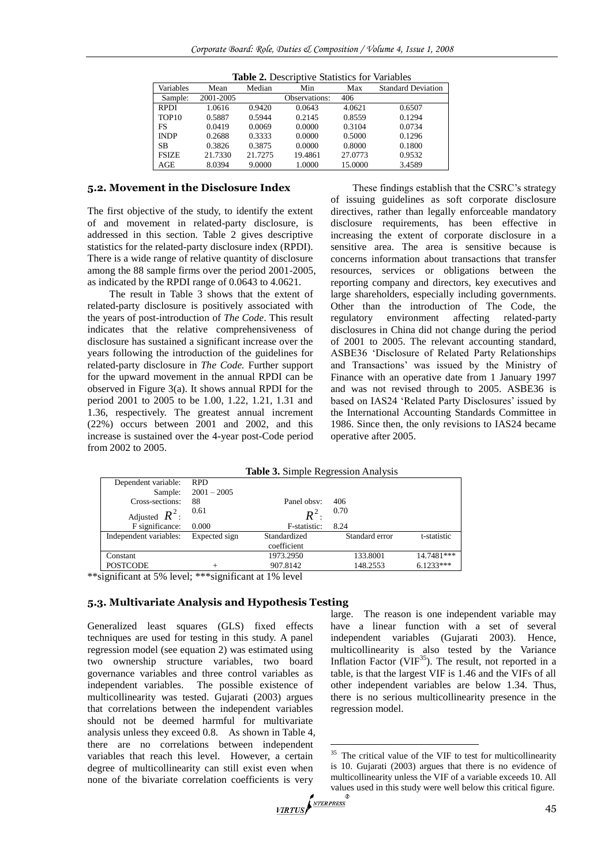| <b>Table 2.</b> Describitive Blatistics for variables |           |         |               |         |                           |  |  |
|-------------------------------------------------------|-----------|---------|---------------|---------|---------------------------|--|--|
| Variables                                             | Mean      | Median  | Min           | Max     | <b>Standard Deviation</b> |  |  |
| Sample:                                               | 2001-2005 |         | Observations: | 406     |                           |  |  |
| <b>RPDI</b>                                           | 1.0616    | 0.9420  | 0.0643        | 4.0621  | 0.6507                    |  |  |
| TOP <sub>10</sub>                                     | 0.5887    | 0.5944  | 0.2145        | 0.8559  | 0.1294                    |  |  |
| FS                                                    | 0.0419    | 0.0069  | 0.0000        | 0.3104  | 0.0734                    |  |  |
| <b>INDP</b>                                           | 0.2688    | 0.3333  | 0.0000        | 0.5000  | 0.1296                    |  |  |
| <b>SB</b>                                             | 0.3826    | 0.3875  | 0.0000        | 0.8000  | 0.1800                    |  |  |
| <b>FSIZE</b>                                          | 21.7330   | 21.7275 | 19.4861       | 27.0773 | 0.9532                    |  |  |
| AGE                                                   | 8.0394    | 9.0000  | 1.0000        | 15.0000 | 3.4589                    |  |  |

**Table 2.** Descriptive Statistics for Variables

#### **5.2. Movement in the Disclosure Index**

The first objective of the study, to identify the extent of and movement in related-party disclosure, is addressed in this section. Table 2 gives descriptive statistics for the related-party disclosure index (RPDI). There is a wide range of relative quantity of disclosure among the 88 sample firms over the period 2001-2005, as indicated by the RPDI range of 0.0643 to 4.0621.

The result in Table 3 shows that the extent of related-party disclosure is positively associated with the years of post-introduction of *The Code*. This result indicates that the relative comprehensiveness of disclosure has sustained a significant increase over the years following the introduction of the guidelines for related-party disclosure in *The Code.* Further support for the upward movement in the annual RPDI can be observed in Figure 3(a). It shows annual RPDI for the period 2001 to 2005 to be 1.00, 1.22, 1.21, 1.31 and 1.36, respectively. The greatest annual increment (22%) occurs between 2001 and 2002, and this increase is sustained over the 4-year post-Code period from 2002 to 2005.

These findings establish that the CSRC's strategy of issuing guidelines as soft corporate disclosure directives, rather than legally enforceable mandatory disclosure requirements, has been effective in increasing the extent of corporate disclosure in a sensitive area. The area is sensitive because is concerns information about transactions that transfer resources, services or obligations between the reporting company and directors, key executives and large shareholders, especially including governments. Other than the introduction of The Code, the regulatory environment affecting related-party disclosures in China did not change during the period of 2001 to 2005. The relevant accounting standard, ASBE36 ‗Disclosure of Related Party Relationships and Transactions' was issued by the Ministry of Finance with an operative date from 1 January 1997 and was not revised through to 2005. ASBE36 is based on IAS24 'Related Party Disclosures' issued by the International Accounting Standards Committee in 1986. Since then, the only revisions to IAS24 became operative after 2005.

**Table 3.** Simple Regression Analysis

|     | Dependent variable:                                    | <b>RPD</b>                    |              |                |             |
|-----|--------------------------------------------------------|-------------------------------|--------------|----------------|-------------|
|     | Sample:                                                | $2001 - 2005$                 |              |                |             |
|     | Cross-sections:                                        | 88                            | Panel obsy:  | 406            |             |
|     | Adjusted $R^2$ :                                       | 0.61                          | $R^2$ .      | 0.70           |             |
|     | F significance:                                        | 0.000                         | F-statistic: | 8.24           |             |
|     | Independent variables:                                 | Expected sign                 | Standardized | Standard error | t-statistic |
|     |                                                        |                               | coefficient  |                |             |
|     | Constant                                               |                               | 1973.2950    | 133.8001       | 14.7481***  |
|     | <b>POSTCODE</b>                                        | $^+$                          | 907.8142     | 148.2553       | $6.1233***$ |
| . . | $\cdot$ $\sim$<br>$\sim$ $\sim$ $\sim$ $\sim$ $\sim$ 1 | $\cdot$ $\sim$<br>ata ata ata |              |                |             |

\*\*significant at 5% level; \*\*\*significant at 1% level

#### **5.3. Multivariate Analysis and Hypothesis Testing**

Generalized least squares (GLS) fixed effects techniques are used for testing in this study. A panel regression model (see equation 2) was estimated using two ownership structure variables, two board governance variables and three control variables as independent variables. The possible existence of multicollinearity was tested. Gujarati (2003) argues that correlations between the independent variables should not be deemed harmful for multivariate analysis unless they exceed 0.8. As shown in Table 4, there are no correlations between independent variables that reach this level. However, a certain degree of multicollinearity can still exist even when none of the bivariate correlation coefficients is very

large. The reason is one independent variable may have a linear function with a set of several independent variables (Gujarati 2003). Hence, multicollinearity is also tested by the Variance Inflation Factor (VIF $^{35}$ ). The result, not reported in a table, is that the largest VIF is 1.46 and the VIFs of all other independent variables are below 1.34. Thus, there is no serious multicollinearity presence in the regression model.

<u>.</u>

<sup>&</sup>lt;sup>35</sup> The critical value of the VIF to test for multicollinearity is 10. Gujarati (2003) argues that there is no evidence of multicollinearity unless the VIF of a variable exceeds 10. All values used in this study were well below this critical figure.<br> $VIRTUS \times VTRTUS \times VTRTUS$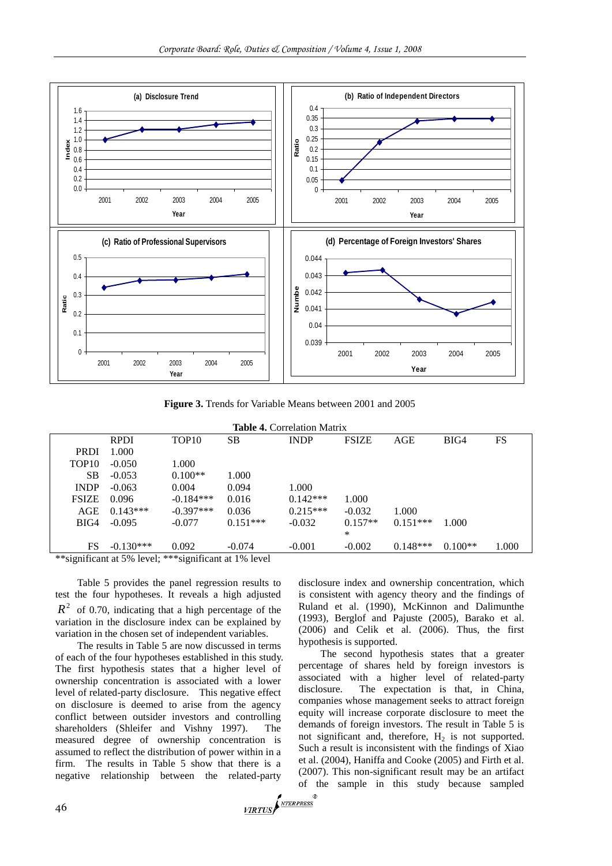

**Figure 3.** Trends for Variable Means between 2001 and 2005

| <b>Table 4. Correlation Matrix</b>       |             |                         |            |             |              |            |           |       |
|------------------------------------------|-------------|-------------------------|------------|-------------|--------------|------------|-----------|-------|
|                                          | <b>RPDI</b> | TOP <sub>10</sub>       | SВ         | <b>INDP</b> | <b>FSIZE</b> | AGE        | BIG4      | FS    |
| <b>PRDI</b>                              | 1.000       |                         |            |             |              |            |           |       |
| TOP <sub>10</sub>                        | $-0.050$    | 1.000                   |            |             |              |            |           |       |
| SВ                                       | $-0.053$    | $0.100**$               | 1.000      |             |              |            |           |       |
| <b>INDP</b>                              | $-0.063$    | 0.004                   | 0.094      | 1.000       |              |            |           |       |
| <b>FSIZE</b>                             | 0.096       | $-0.184***$             | 0.016      | $0.142***$  | 1.000        |            |           |       |
| AGE                                      | $0.143***$  | $-0.397***$             | 0.036      | $0.215***$  | $-0.032$     | 1.000      |           |       |
| BIG4                                     | $-0.095$    | $-0.077$                | $0.151***$ | $-0.032$    | $0.157**$    | $0.151***$ | 1.000     |       |
|                                          |             |                         |            |             | *            |            |           |       |
| <b>FS</b><br>about the<br>$\cdot$ $\sim$ | $-0.130***$ | 0.092<br>$\cdot$ $\sim$ | $-0.074$   | $-0.001$    | $-0.002$     | $0.148***$ | $0.100**$ | 1.000 |

\*\*significant at 5% level; \*\*\*significant at 1% level

Table 5 provides the panel regression results to test the four hypotheses. It reveals a high adjusted  $R<sup>2</sup>$  of 0.70, indicating that a high percentage of the variation in the disclosure index can be explained by variation in the chosen set of independent variables.

The results in Table 5 are now discussed in terms of each of the four hypotheses established in this study. The first hypothesis states that a higher level of ownership concentration is associated with a lower level of related-party disclosure. This negative effect on disclosure is deemed to arise from the agency conflict between outsider investors and controlling shareholders (Shleifer and Vishny 1997). The measured degree of ownership concentration is assumed to reflect the distribution of power within in a firm. The results in Table 5 show that there is a negative relationship between the related-party

disclosure index and ownership concentration, which is consistent with agency theory and the findings of Ruland et al. (1990), McKinnon and Dalimunthe (1993), Berglof and Pajuste (2005), Barako et al. (2006) and Celik et al. (2006). Thus, the first hypothesis is supported.

The second hypothesis states that a greater percentage of shares held by foreign investors is associated with a higher level of related-party disclosure. The expectation is that, in China, companies whose management seeks to attract foreign equity will increase corporate disclosure to meet the demands of foreign investors. The result in Table 5 is not significant and, therefore,  $H_2$  is not supported. Such a result is inconsistent with the findings of Xiao et al. (2004), Haniffa and Cooke (2005) and Firth et al. (2007). This non-significant result may be an artifact of the sample in this study because sampled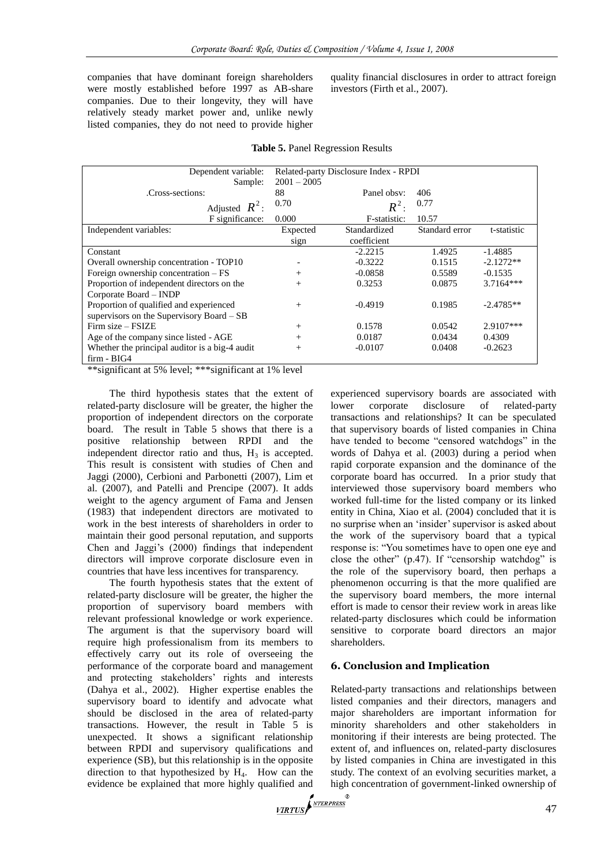companies that have dominant foreign shareholders were mostly established before 1997 as AB-share companies. Due to their longevity, they will have relatively steady market power and, unlike newly listed companies, they do not need to provide higher quality financial disclosures in order to attract foreign investors (Firth et al., 2007).

| Dependent variable:                            | Related-party Disclosure Index - RPDI |              |                |             |  |  |
|------------------------------------------------|---------------------------------------|--------------|----------------|-------------|--|--|
| Sample:                                        | $2001 - 2005$                         |              |                |             |  |  |
| Cross-sections:                                | 88                                    | Panel obsy:  | 406            |             |  |  |
| Adjusted $R^2$ :                               | 0.70                                  | $R^2$ :      | 0.77           |             |  |  |
| F significance:                                | 0.000                                 | F-statistic: | 10.57          |             |  |  |
| Independent variables:                         | Expected                              | Standardized | Standard error | t-statistic |  |  |
|                                                | sign                                  | coefficient  |                |             |  |  |
| Constant                                       |                                       | $-2.2215$    | 1.4925         | $-1.4885$   |  |  |
| Overall ownership concentration - TOP10        |                                       | $-0.3222$    | 0.1515         | $-2.1272**$ |  |  |
| Foreign ownership concentration $-FS$          | $^{+}$                                | $-0.0858$    | 0.5589         | $-0.1535$   |  |  |
| Proportion of independent directors on the     | $^{+}$                                | 0.3253       | 0.0875         | $3.7164***$ |  |  |
| Corporate Board - INDP                         |                                       |              |                |             |  |  |
| Proportion of qualified and experienced        | $^{+}$                                | $-0.4919$    | 0.1985         | $-2.4785**$ |  |  |
| supervisors on the Supervisory Board - SB      |                                       |              |                |             |  |  |
| Firm size – FSIZE                              | $^{+}$                                | 0.1578       | 0.0542         | $2.9107***$ |  |  |
| Age of the company since listed - AGE          | $^{+}$                                | 0.0187       | 0.0434         | 0.4309      |  |  |
| Whether the principal auditor is a big-4 audit | $^{+}$                                | $-0.0107$    | 0.0408         | $-0.2623$   |  |  |
| $firm - BIG4$                                  |                                       |              |                |             |  |  |

\*\*significant at 5% level; \*\*\*significant at 1% level

The third hypothesis states that the extent of related-party disclosure will be greater, the higher the proportion of independent directors on the corporate board. The result in Table 5 shows that there is a positive relationship between RPDI and the independent director ratio and thus,  $H_3$  is accepted. This result is consistent with studies of Chen and Jaggi (2000), Cerbioni and Parbonetti (2007), Lim et al. (2007), and Patelli and Prencipe (2007). It adds weight to the agency argument of Fama and Jensen (1983) that independent directors are motivated to work in the best interests of shareholders in order to maintain their good personal reputation, and supports Chen and Jaggi's (2000) findings that independent directors will improve corporate disclosure even in countries that have less incentives for transparency.

The fourth hypothesis states that the extent of related-party disclosure will be greater, the higher the proportion of supervisory board members with relevant professional knowledge or work experience. The argument is that the supervisory board will require high professionalism from its members to effectively carry out its role of overseeing the performance of the corporate board and management and protecting stakeholders' rights and interests (Dahya et al., 2002). Higher expertise enables the supervisory board to identify and advocate what should be disclosed in the area of related-party transactions. However, the result in Table 5 is unexpected. It shows a significant relationship between RPDI and supervisory qualifications and experience (SB), but this relationship is in the opposite direction to that hypothesized by  $H_4$ . How can the evidence be explained that more highly qualified and highly  $\sqrt{\frac{NTERPRESS}{NTERPRESS}}$ 

experienced supervisory boards are associated with lower corporate disclosure of related-party transactions and relationships? It can be speculated that supervisory boards of listed companies in China have tended to become "censored watchdogs" in the words of Dahya et al. (2003) during a period when rapid corporate expansion and the dominance of the corporate board has occurred. In a prior study that interviewed those supervisory board members who worked full-time for the listed company or its linked entity in China, Xiao et al. (2004) concluded that it is no surprise when an ‗insider' supervisor is asked about the work of the supervisory board that a typical response is: "You sometimes have to open one eye and close the other"  $(p.47)$ . If "censorship watchdog" is the role of the supervisory board, then perhaps a phenomenon occurring is that the more qualified are the supervisory board members, the more internal effort is made to censor their review work in areas like related-party disclosures which could be information sensitive to corporate board directors an major shareholders.

# **6. Conclusion and Implication**

Related-party transactions and relationships between listed companies and their directors, managers and major shareholders are important information for minority shareholders and other stakeholders in monitoring if their interests are being protected. The extent of, and influences on, related-party disclosures by listed companies in China are investigated in this study. The context of an evolving securities market, a high concentration of government-linked ownership of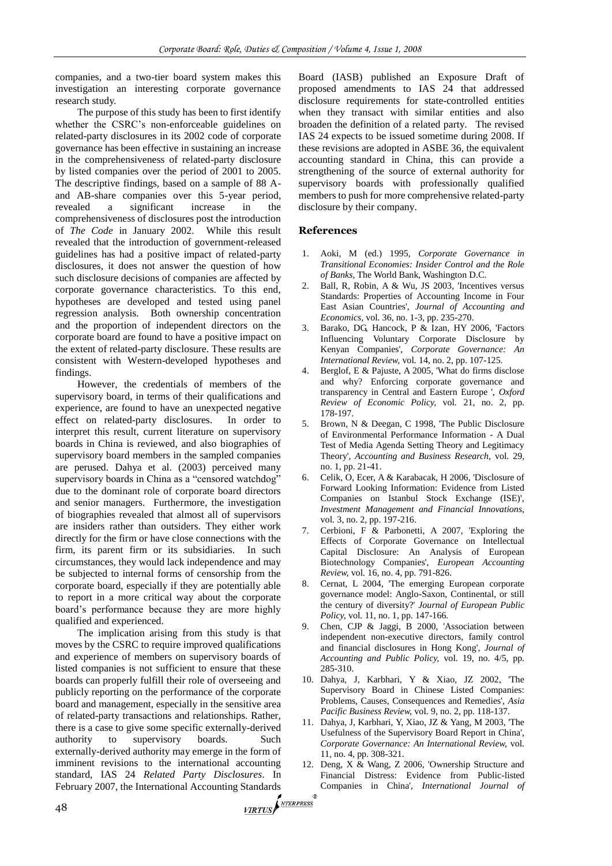companies, and a two-tier board system makes this investigation an interesting corporate governance research study.

The purpose of this study has been to first identify whether the CSRC's non-enforceable guidelines on related-party disclosures in its 2002 code of corporate governance has been effective in sustaining an increase in the comprehensiveness of related-party disclosure by listed companies over the period of 2001 to 2005. The descriptive findings, based on a sample of 88 Aand AB-share companies over this 5-year period, revealed a significant increase in the comprehensiveness of disclosures post the introduction of *The Code* in January 2002. While this result revealed that the introduction of government-released guidelines has had a positive impact of related-party disclosures, it does not answer the question of how such disclosure decisions of companies are affected by corporate governance characteristics. To this end, hypotheses are developed and tested using panel regression analysis. Both ownership concentration and the proportion of independent directors on the corporate board are found to have a positive impact on the extent of related-party disclosure. These results are consistent with Western-developed hypotheses and findings.

However, the credentials of members of the supervisory board, in terms of their qualifications and experience, are found to have an unexpected negative effect on related-party disclosures. In order to interpret this result, current literature on supervisory boards in China is reviewed, and also biographies of supervisory board members in the sampled companies are perused. Dahya et al. (2003) perceived many supervisory boards in China as a "censored watchdog" due to the dominant role of corporate board directors and senior managers. Furthermore, the investigation of biographies revealed that almost all of supervisors are insiders rather than outsiders. They either work directly for the firm or have close connections with the firm, its parent firm or its subsidiaries. In such circumstances, they would lack independence and may be subjected to internal forms of censorship from the corporate board, especially if they are potentially able to report in a more critical way about the corporate board's performance because they are more highly qualified and experienced.

The implication arising from this study is that moves by the CSRC to require improved qualifications and experience of members on supervisory boards of listed companies is not sufficient to ensure that these boards can properly fulfill their role of overseeing and publicly reporting on the performance of the corporate board and management, especially in the sensitive area of related-party transactions and relationships. Rather, there is a case to give some specific externally-derived authority to supervisory boards. Such externally-derived authority may emerge in the form of imminent revisions to the international accounting standard, IAS 24 *Related Party Disclosures*. In February 2007, the International Accounting Standards<br>48

Board (IASB) published an Exposure Draft of proposed amendments to IAS 24 that addressed disclosure requirements for state-controlled entities when they transact with similar entities and also broaden the definition of a related party. The revised IAS 24 expects to be issued sometime during 2008. If these revisions are adopted in ASBE 36, the equivalent accounting standard in China, this can provide a strengthening of the source of external authority for supervisory boards with professionally qualified members to push for more comprehensive related-party disclosure by their company.

#### **References**

- 1. Aoki, M (ed.) 1995, *Corporate Governance in Transitional Economies: Insider Control and the Role of Banks*, The World Bank, Washington D.C.
- 2. Ball, R, Robin, A & Wu, JS 2003, 'Incentives versus Standards: Properties of Accounting Income in Four East Asian Countries', *Journal of Accounting and Economics,* vol*.* 36, no. 1-3, pp. 235-270.
- 3. Barako, DG, Hancock, P & Izan, HY 2006, 'Factors Influencing Voluntary Corporate Disclosure by Kenyan Companies', *Corporate Governance: An International Review,* vol*.* 14, no. 2, pp. 107-125.
- 4. Berglof, E & Pajuste, A 2005, 'What do firms disclose and why? Enforcing corporate governance and transparency in Central and Eastern Europe ', *Oxford Review of Economic Policy,* vol*.* 21, no. 2, pp. 178-197.
- 5. Brown, N & Deegan, C 1998, 'The Public Disclosure of Environmental Performance Information - A Dual Test of Media Agenda Setting Theory and Legitimacy Theory', *Accounting and Business Research,* vol*.* 29, no. 1, pp. 21-41.
- 6. Celik, O, Ecer, A & Karabacak, H 2006, 'Disclosure of Forward Looking Information: Evidence from Listed Companies on Istanbul Stock Exchange (ISE)', *Investment Management and Financial Innovations,*  vol*.* 3, no. 2, pp. 197-216.
- 7. Cerbioni, F & Parbonetti, A 2007, 'Exploring the Effects of Corporate Governance on Intellectual Capital Disclosure: An Analysis of European Biotechnology Companies', *European Accounting Review,* vol*.* 16, no. 4, pp. 791-826.
- 8. Cernat, L 2004, 'The emerging European corporate governance model: Anglo-Saxon, Continental, or still the century of diversity?' *Journal of European Public Policy,* vol*.* 11, no. 1, pp. 147-166.
- 9. Chen, CJP & Jaggi, B 2000, 'Association between independent non-executive directors, family control and financial disclosures in Hong Kong', *Journal of Accounting and Public Policy,* vol*.* 19, no. 4/5, pp. 285-310.
- 10. Dahya, J, Karbhari, Y & Xiao, JZ 2002, 'The Supervisory Board in Chinese Listed Companies: Problems, Causes, Consequences and Remedies', *Asia Pacific Business Review,* vol*.* 9, no. 2, pp. 118-137.
- 11. Dahya, J, Karbhari, Y, Xiao, JZ & Yang, M 2003, 'The Usefulness of the Supervisory Board Report in China', *Corporate Governance: An International Review,* vol*.*  11, no. 4, pp. 308-321.
- 12. Deng, X & Wang, Z 2006, 'Ownership Structure and Financial Distress: Evidence from Public-listed Companies in China', *International Journal of*